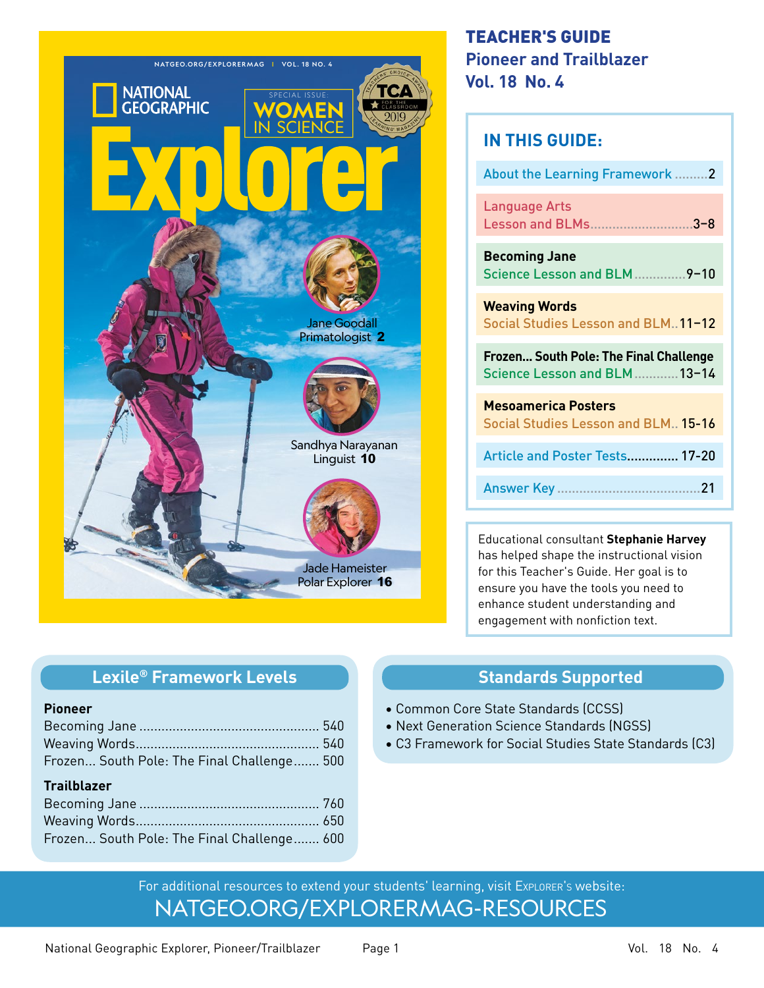

# TEACHER'S GUIDE **Pioneer and Trailblazer Vol. 18 No. 4**

| <b>IN THIS GUIDE:</b>                                                   |
|-------------------------------------------------------------------------|
| <b>About the Learning Framework.</b><br>.2                              |
| <b>Language Arts</b><br>Lesson and BLMs3-8                              |
| <b>Becoming Jane</b><br>Science Lesson and BLM<br>$-9 - 10$             |
| <b>Weaving Words</b><br>Social Studies Lesson and BLM. 11-12            |
| Frozen South Pole: The Final Challenge<br>Science Lesson and BLM  13-14 |
| <b>Mesoamerica Posters</b><br>Social Studies Lesson and BLM 15-16       |
| Article and Poster Tests 17-20                                          |
| 21<br>Answer Key                                                        |
|                                                                         |

Educational consultant **Stephanie Harvey**  has helped shape the instructional vision for this Teacher's Guide. Her goal is to ensure you have the tools you need to enhance student understanding and engagement with nonfiction text.

# **Standards Supported**

- Common Core State Standards (CCSS)
- Next Generation Science Standards (NGSS)
- C3 Framework for Social Studies State Standards (C3)

[NATGEO.ORG/EXPLORERMAG-RESOURCES](https://www.nationalgeographic.org/education/explorer-magazine/signin/) For additional resources to extend your students' learning, visit Explorer's website:

# **Lexile® Framework Levels**

### **Pioneer**

| Frozen South Pole: The Final Challenge 500 |  |
|--------------------------------------------|--|
| <b>Trailblazer</b>                         |  |
|                                            |  |
|                                            |  |
| Frozen South Pole: The Final Challenge 600 |  |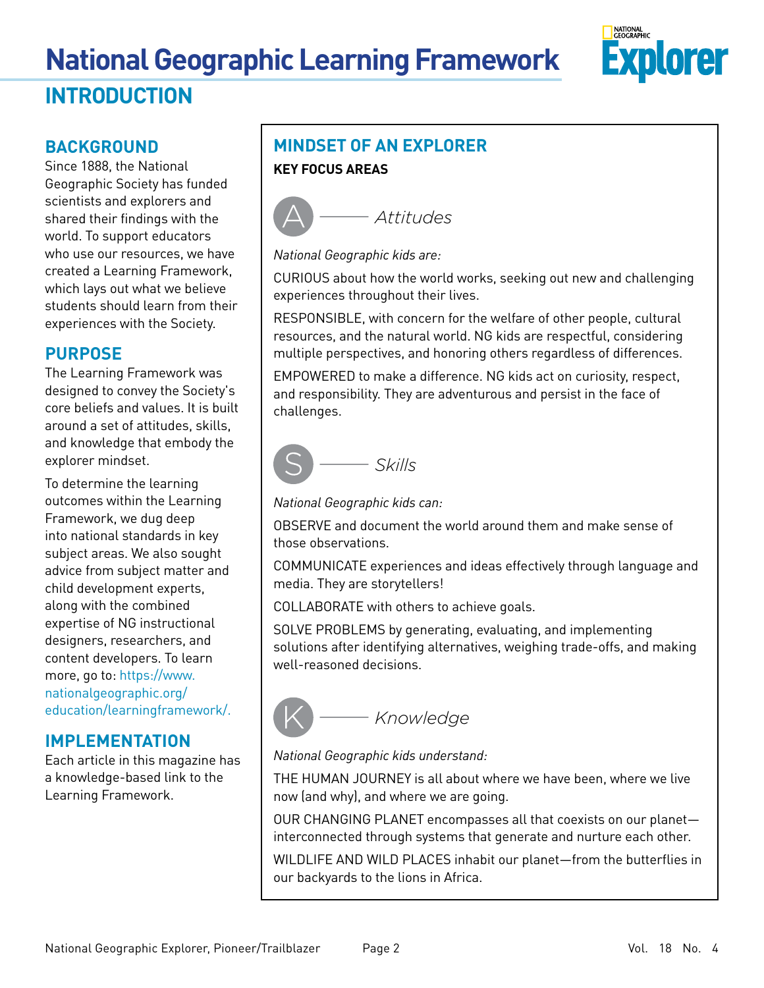# **National Geographic Learning Framework INTRODUCTION**



# **BACKGROUND**

Since 1888, the National Geographic Society has funded scientists and explorers and shared their findings with the world. To support educators who use our resources, we have created a Learning Framework, which lays out what we believe students should learn from their experiences with the Society.

# **PURPOSE**

The Learning Framework was designed to convey the Society's core beliefs and values. It is built around a set of attitudes, skills, and knowledge that embody the explorer mindset.

To determine the learning outcomes within the Learning Framework, we dug deep into national standards in key subject areas. We also sought advice from subject matter and child development experts, along with the combined expertise of NG instructional designers, researchers, and content developers. To learn more, go to: [https://www.](https://www.nationalgeographic.org/education/learningframework/) [nationalgeographic.org/](https://www.nationalgeographic.org/education/learningframework/) [education/learningframework/](https://www.nationalgeographic.org/education/learningframework/).

# **IMPLEMENTATION**

Each article in this magazine has a knowledge-based link to the Learning Framework.

# **MINDSET OF AN EXPLORER KEY FOCUS AREAS**



*National Geographic kids are:*

CURIOUS about how the world works, seeking out new and challenging experiences throughout their lives.

RESPONSIBLE, with concern for the welfare of other people, cultural resources, and the natural world. NG kids are respectful, considering multiple perspectives, and honoring others regardless of differences.

EMPOWERED to make a difference. NG kids act on curiosity, respect, and responsibility. They are adventurous and persist in the face of challenges.



*National Geographic kids can:*

OBSERVE and document the world around them and make sense of those observations.

COMMUNICATE experiences and ideas effectively through language and media. They are storytellers!

COLLABORATE with others to achieve goals.

SOLVE PROBLEMS by generating, evaluating, and implementing solutions after identifying alternatives, weighing trade-offs, and making well-reasoned decisions.



# *National Geographic kids understand:*

THE HUMAN JOURNEY is all about where we have been, where we live now (and why), and where we are going.

OUR CHANGING PLANET encompasses all that coexists on our planet interconnected through systems that generate and nurture each other.

WILDLIFE AND WILD PLACES inhabit our planet—from the butterflies in our backyards to the lions in Africa.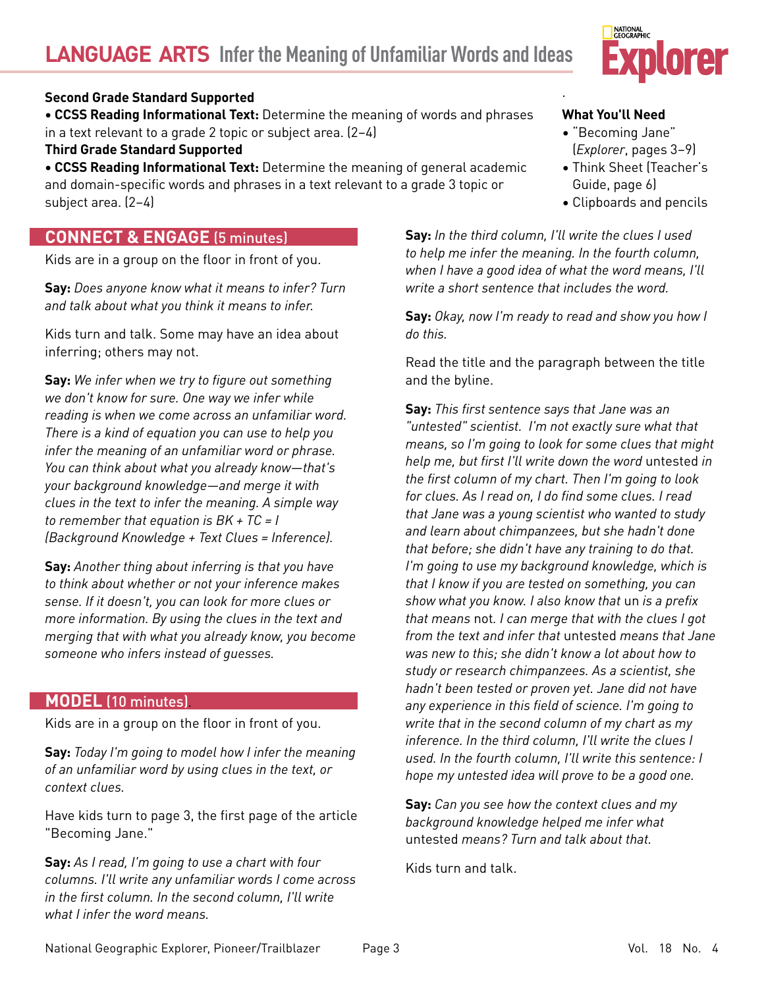# **Second Grade Standard Supported**

**• CCSS Reading Informational Text:** Determine the meaning of words and phrases in a text relevant to a grade 2 topic or subject area. (2–4)

**Third Grade Standard Supported**

**• CCSS Reading Informational Text:** Determine the meaning of general academic and domain-specific words and phrases in a text relevant to a grade 3 topic or subject area. (2–4)

# **CONNECT & ENGAGE** (5 minutes)

Kids are in a group on the floor in front of you.

**Say:** *Does anyone know what it means to infer? Turn and talk about what you think it means to infer.*

Kids turn and talk. Some may have an idea about inferring; others may not.

**Say:** *We infer when we try to figure out something we don't know for sure. One way we infer while reading is when we come across an unfamiliar word. There is a kind of equation you can use to help you infer the meaning of an unfamiliar word or phrase. You can think about what you already know—that's your background knowledge—and merge it with clues in the text to infer the meaning. A simple way to remember that equation is BK + TC = I (Background Knowledge + Text Clues = Inference).*

**Say:** *Another thing about inferring is that you have to think about whether or not your inference makes sense. If it doesn't, you can look for more clues or more information. By using the clues in the text and merging that with what you already know, you become someone who infers instead of guesses.* 

# **MODEL** (10 minutes).

Kids are in a group on the floor in front of you.

**Say:** *Today I'm going to model how I infer the meaning of an unfamiliar word by using clues in the text, or context clues.* 

Have kids turn to page 3, the first page of the article "Becoming Jane."

**Say:** *As I read, I'm going to use a chart with four columns. I'll write any unfamiliar words I come across in the first column. In the second column, I'll write what I infer the word means.* 



# **What You'll Need**

- "Becoming Jane" (*Explorer*, pages 3–9)
- Think Sheet (Teacher's Guide, page 6)
- Clipboards and pencils

**Say:** *In the third column, I'll write the clues I used to help me infer the meaning. In the fourth column, when I have a good idea of what the word means, I'll write a short sentence that includes the word.*

.

**Say:** *Okay, now I'm ready to read and show you how I do this.*

Read the title and the paragraph between the title and the byline.

**Say:** *This first sentence says that Jane was an "untested" scientist. I'm not exactly sure what that means, so I'm going to look for some clues that might help me, but first I'll write down the word* untested *in the first column of my chart. Then I'm going to look for clues. As I read on, I do find some clues. I read that Jane was a young scientist who wanted to study and learn about chimpanzees, but she hadn't done that before; she didn't have any training to do that. I'm going to use my background knowledge, which is that I know if you are tested on something, you can show what you know. I also know that* un *is a prefix that means* not*. I can merge that with the clues I got from the text and infer that* untested *means that Jane was new to this; she didn't know a lot about how to study or research chimpanzees. As a scientist, she hadn't been tested or proven yet. Jane did not have any experience in this field of science. I'm going to write that in the second column of my chart as my inference. In the third column, I'll write the clues I used. In the fourth column, I'll write this sentence: I hope my untested idea will prove to be a good one.*

**Say:** *Can you see how the context clues and my background knowledge helped me infer what*  untested *means? Turn and talk about that.*

Kids turn and talk.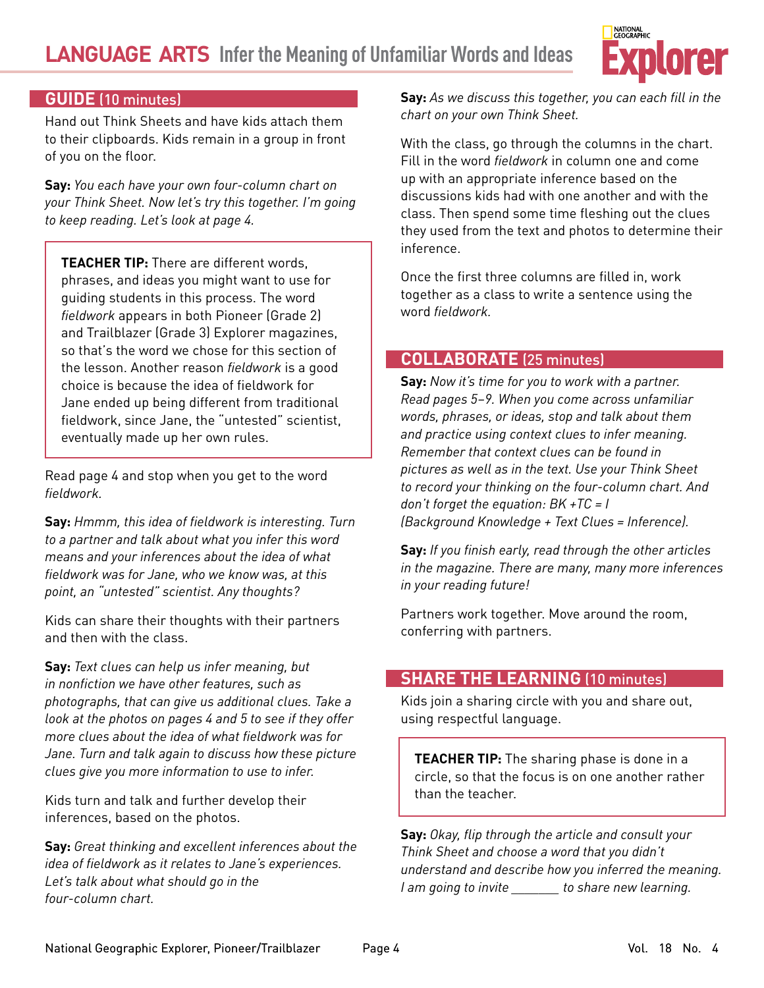

# **GUIDE** (10 minutes)

Hand out Think Sheets and have kids attach them to their clipboards. Kids remain in a group in front of you on the floor.

**Say:** *You each have your own four-column chart on your Think Sheet. Now let's try this together. I'm going to keep reading. Let's look at page 4.* 

**TEACHER TIP:** There are different words, phrases, and ideas you might want to use for guiding students in this process. The word *fieldwork* appears in both Pioneer (Grade 2) and Trailblazer (Grade 3) Explorer magazines, so that's the word we chose for this section of the lesson. Another reason *fieldwork* is a good choice is because the idea of fieldwork for Jane ended up being different from traditional fieldwork, since Jane, the "untested" scientist, eventually made up her own rules.

Read page 4 and stop when you get to the word *fieldwork.*

**Say:** *Hmmm, this idea of fieldwork is interesting. Turn to a partner and talk about what you infer this word means and your inferences about the idea of what fieldwork was for Jane, who we know was, at this point, an "untested" scientist. Any thoughts?*

Kids can share their thoughts with their partners and then with the class.

**Say:** *Text clues can help us infer meaning, but in nonfiction we have other features, such as photographs, that can give us additional clues. Take a look at the photos on pages 4 and 5 to see if they offer more clues about the idea of what fieldwork was for Jane. Turn and talk again to discuss how these picture clues give you more information to use to infer.*

Kids turn and talk and further develop their inferences, based on the photos.

**Say:** *Great thinking and excellent inferences about the idea of fieldwork as it relates to Jane's experiences. Let's talk about what should go in the four-column chart.* 

**Say:** *As we discuss this together, you can each fill in the chart on your own Think Sheet.*

With the class, go through the columns in the chart. Fill in the word *fieldwork* in column one and come up with an appropriate inference based on the discussions kids had with one another and with the class. Then spend some time fleshing out the clues they used from the text and photos to determine their inference.

Once the first three columns are filled in, work together as a class to write a sentence using the word *fieldwork.*

# **COLLABORATE** (25 minutes)

**Say:** *Now it's time for you to work with a partner. Read pages 5–9. When you come across unfamiliar words, phrases, or ideas, stop and talk about them and practice using context clues to infer meaning. Remember that context clues can be found in pictures as well as in the text. Use your Think Sheet to record your thinking on the four-column chart. And don't forget the equation: BK +TC = I (Background Knowledge + Text Clues = Inference).*

**Say:** *If you finish early, read through the other articles in the magazine. There are many, many more inferences in your reading future!*

Partners work together. Move around the room, conferring with partners.

# **SHARE THE LEARNING** (10 minutes)

Kids join a sharing circle with you and share out, using respectful language.

**TEACHER TIP:** The sharing phase is done in a circle, so that the focus is on one another rather than the teacher.

**Say:** *Okay, flip through the article and consult your Think Sheet and choose a word that you didn't understand and describe how you inferred the meaning. I am going to invite \_\_\_\_\_\_\_ to share new learning.*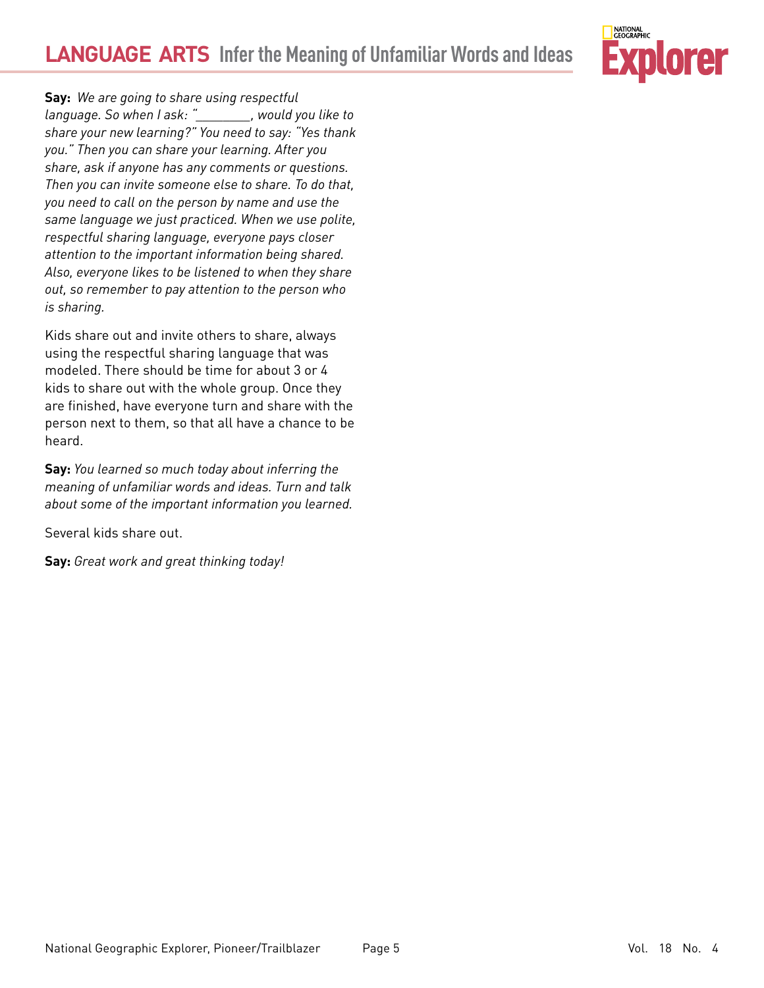

**Say:** *We are going to share using respectful language. So when I ask: "\_\_\_\_\_\_\_\_, would you like to share your new learning?" You need to say: "Yes thank you." Then you can share your learning. After you share, ask if anyone has any comments or questions. Then you can invite someone else to share. To do that, you need to call on the person by name and use the same language we just practiced. When we use polite, respectful sharing language, everyone pays closer attention to the important information being shared. Also, everyone likes to be listened to when they share out, so remember to pay attention to the person who is sharing.*

Kids share out and invite others to share, always using the respectful sharing language that was modeled. There should be time for about 3 or 4 kids to share out with the whole group. Once they are finished, have everyone turn and share with the person next to them, so that all have a chance to be heard.

**Say:** *You learned so much today about inferring the meaning of unfamiliar words and ideas. Turn and talk about some of the important information you learned.* 

Several kids share out.

**Say:** *Great work and great thinking today!*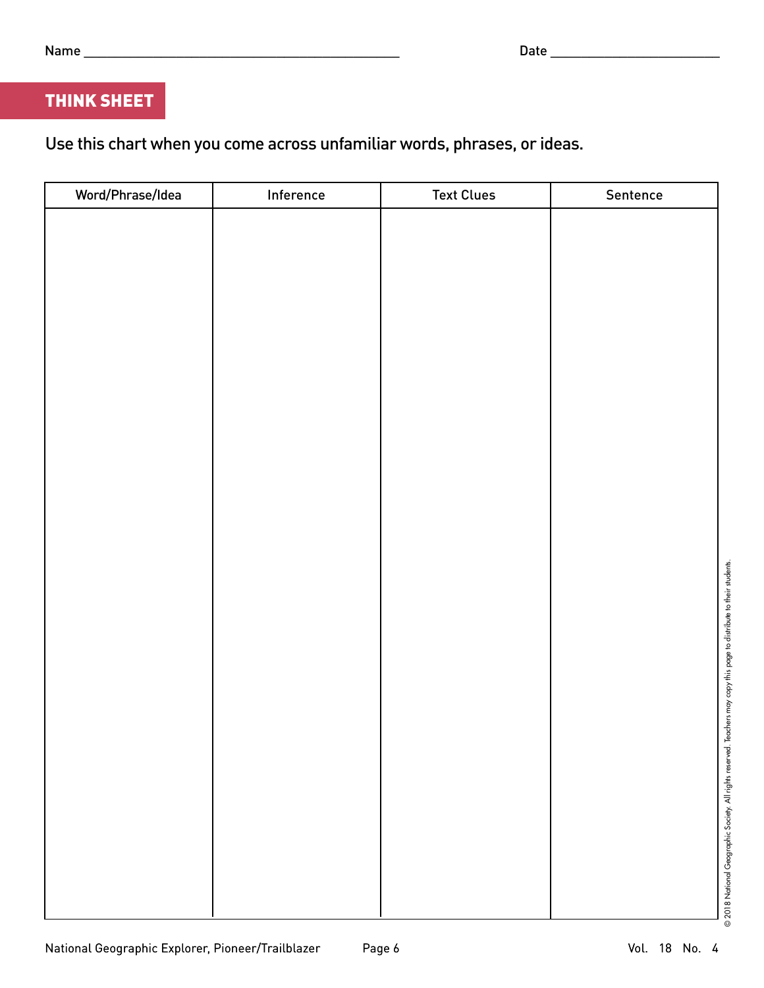# THINK SHEET

Use this chart when you come across unfamiliar words, phrases, or ideas.

| Word/Phrase/Idea | Inference | <b>Text Clues</b> | Sentence |
|------------------|-----------|-------------------|----------|
|                  |           |                   |          |
|                  |           |                   |          |
|                  |           |                   |          |
|                  |           |                   |          |
|                  |           |                   |          |
|                  |           |                   |          |
|                  |           |                   |          |
|                  |           |                   |          |
|                  |           |                   |          |
|                  |           |                   |          |
|                  |           |                   |          |
|                  |           |                   |          |
|                  |           |                   |          |
|                  |           |                   |          |
|                  |           |                   |          |
|                  |           |                   |          |
|                  |           |                   |          |
|                  |           |                   |          |
|                  |           |                   |          |
|                  |           |                   |          |
|                  |           |                   |          |
|                  |           |                   |          |
|                  |           |                   |          |
|                  |           |                   |          |
|                  |           |                   |          |
|                  |           |                   |          |
|                  |           |                   |          |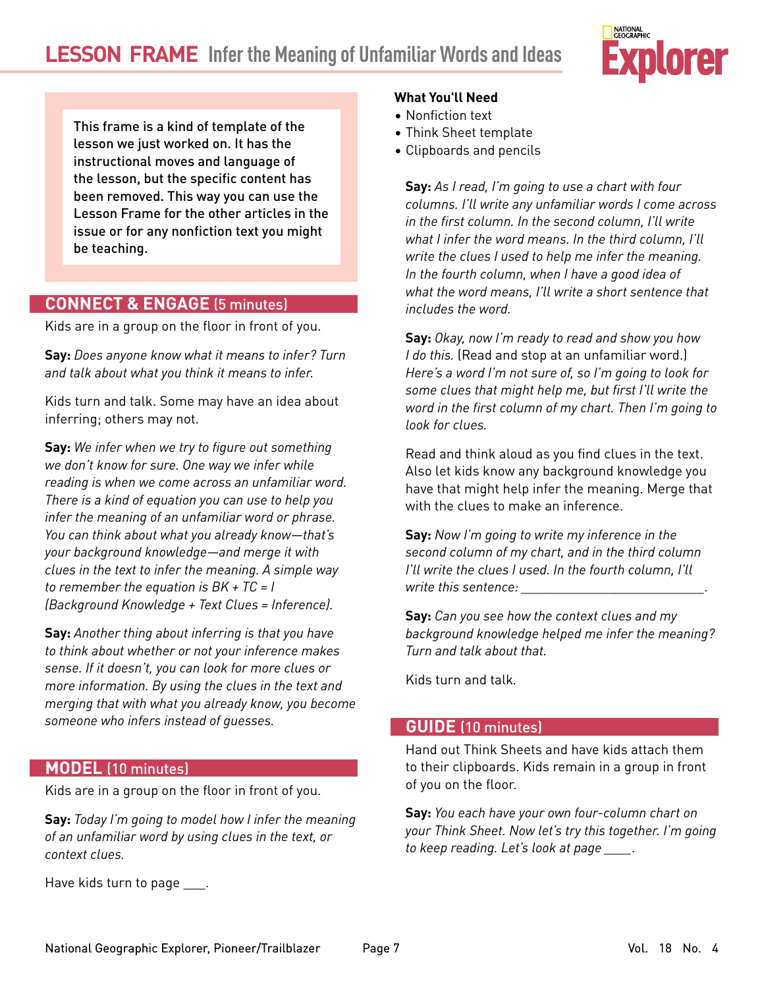

This frame is a kind of template of the lesson we just worked on. It has the instructional moves and language of the lesson, but the specific content has been removed. This way you can use the Lesson Frame for the other articles in the issue or for any nonfiction text you might be teaching.

# **CONNECT & ENGAGE** (5 minutes)

Kids are in a group on the floor in front of you.

**Say:** *Does anyone know what it means to infer? Turn and talk about what you think it means to infer.* 

Kids turn and talk. Some may have an idea about inferring; others may not.

**Say:** *We infer when we try to figure out something we don't know for sure. One way we infer while reading is when we come across an unfamiliar word. There is a kind of equation you can use to help you infer the meaning of an unfamiliar word or phrase. You can think about what you already know—that's your background knowledge—and merge it with clues in the text to infer the meaning. A simple way to remember the equation is BK + TC = I (Background Knowledge + Text Clues = Inference).*

**Say:** *Another thing about inferring is that you have to think about whether or not your inference makes sense. If it doesn't, you can look for more clues or more information. By using the clues in the text and merging that with what you already know, you become someone who infers instead of guesses.* 

# **MODEL** (10 minutes)

Kids are in a group on the floor in front of you.

**Say:** *Today I'm going to model how I infer the meaning of an unfamiliar word by using clues in the text, or context clues.* 

Have kids turn to page \_\_\_\_.

### **What You'll Need**

- Nonfiction text
- Think Sheet template
- Clipboards and pencils

**Say:** *As I read, I'm going to use a chart with four columns. I'll write any unfamiliar words I come across in the first column. In the second column, I'll write what I infer the word means. In the third column, I'll write the clues I used to help me infer the meaning. In the fourth column, when I have a good idea of what the word means, I'll write a short sentence that includes the word.*

**Say:** *Okay, now I'm ready to read and show you how I do this.* (Read and stop at an unfamiliar word.) *Here's a word I'm not sure of, so I'm going to look for some clues that might help me, but first I'll write the word in the first column of my chart. Then I'm going to look for clues.* 

Read and think aloud as you find clues in the text. Also let kids know any background knowledge you have that might help infer the meaning. Merge that with the clues to make an inference.

**Say:** *Now I'm going to write my inference in the second column of my chart, and in the third column I'll write the clues I used. In the fourth column, I'll write this sentence: \_\_\_\_\_\_\_\_\_\_\_\_\_\_\_\_\_\_\_\_\_\_\_\_\_\_\_.*

**Say:** *Can you see how the context clues and my background knowledge helped me infer the meaning? Turn and talk about that.*

Kids turn and talk*.*

# **GUIDE** (10 minutes)

Hand out Think Sheets and have kids attach them to their clipboards. Kids remain in a group in front of you on the floor.

**Say:** *You each have your own four-column chart on your Think Sheet. Now let's try this together. I'm going to keep reading. Let's look at page \_\_\_\_.*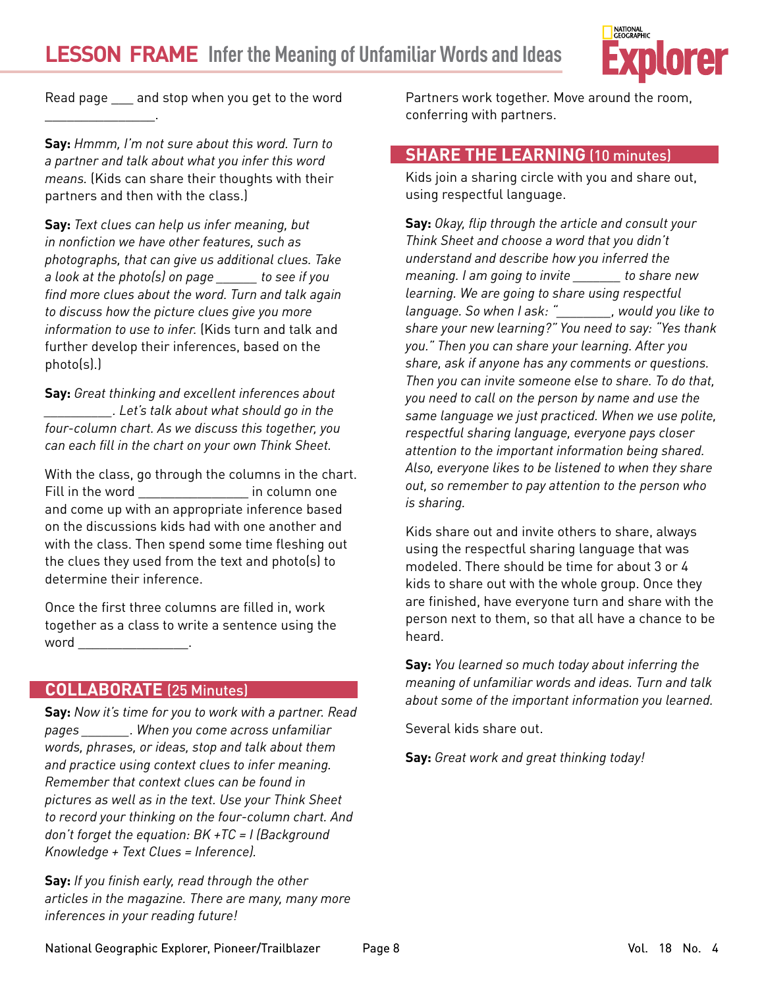

Read page \_\_\_ and stop when you get to the word

 $\mathcal{L}=\mathcal{L}^{\mathcal{L}}$  , we have the set of the set of the set of the set of the set of the set of the set of the set of the set of the set of the set of the set of the set of the set of the set of the set of the set of th

**Say:** *Hmmm, I'm not sure about this word. Turn to a partner and talk about what you infer this word means.* (Kids can share their thoughts with their partners and then with the class.)

**Say:** *Text clues can help us infer meaning, but in nonfiction we have other features, such as photographs, that can give us additional clues. Take a look at the photo(s) on page \_\_\_\_\_\_ to see if you find more clues about the word. Turn and talk again to discuss how the picture clues give you more information to use to infer.* (Kids turn and talk and further develop their inferences, based on the photo(s).)

**Say:** *Great thinking and excellent inferences about \_\_\_\_\_\_\_\_\_\_. Let's talk about what should go in the four-column chart. As we discuss this together, you can each fill in the chart on your own Think Sheet.* 

With the class, go through the columns in the chart. Fill in the word **Example 2** in column one and come up with an appropriate inference based on the discussions kids had with one another and with the class. Then spend some time fleshing out the clues they used from the text and photo(s) to determine their inference.

Once the first three columns are filled in, work together as a class to write a sentence using the  $word$   $\Box$ 

# **COLLABORATE** (25 Minutes)

**Say:** *Now it's time for you to work with a partner. Read pages \_\_\_\_\_\_\_. When you come across unfamiliar words, phrases, or ideas, stop and talk about them and practice using context clues to infer meaning. Remember that context clues can be found in pictures as well as in the text. Use your Think Sheet to record your thinking on the four-column chart. And don't forget the equation: BK +TC = I (Background Knowledge + Text Clues = Inference).*

**Say:** *If you finish early, read through the other articles in the magazine. There are many, many more inferences in your reading future!*

Partners work together. Move around the room, conferring with partners.

# **SHARE THE LEARNING** (10 minutes)

Kids join a sharing circle with you and share out, using respectful language.

**Say:** *Okay, flip through the article and consult your Think Sheet and choose a word that you didn't understand and describe how you inferred the meaning. I am going to invite \_\_\_\_\_\_\_ to share new learning. We are going to share using respectful language. So when I ask: "\_\_\_\_\_\_\_\_, would you like to share your new learning?" You need to say: "Yes thank you." Then you can share your learning. After you share, ask if anyone has any comments or questions. Then you can invite someone else to share. To do that, you need to call on the person by name and use the same language we just practiced. When we use polite, respectful sharing language, everyone pays closer attention to the important information being shared. Also, everyone likes to be listened to when they share out, so remember to pay attention to the person who is sharing.*

Kids share out and invite others to share, always using the respectful sharing language that was modeled. There should be time for about 3 or 4 kids to share out with the whole group. Once they are finished, have everyone turn and share with the person next to them, so that all have a chance to be heard.

**Say:** *You learned so much today about inferring the meaning of unfamiliar words and ideas. Turn and talk about some of the important information you learned.* 

Several kids share out.

**Say:** *Great work and great thinking today!*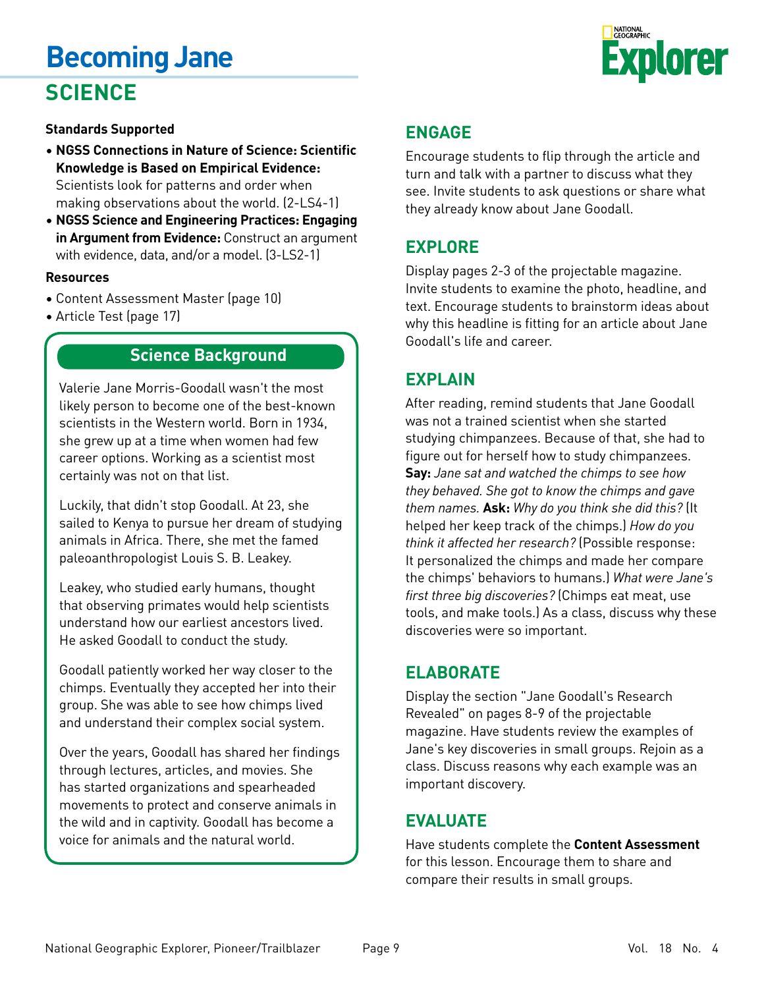# **Becoming Jane SCIENCE**



# **Standards Supported**

- **NGSS Connections in Nature of Science: Scientific Knowledge is Based on Empirical Evidence:**  Scientists look for patterns and order when making observations about the world. (2-LS4-1)
- **NGSS Science and Engineering Practices: Engaging in Argument from Evidence:** Construct an argument with evidence, data, and/or a model. (3-LS2-1)

# **Resources**

- Content Assessment Master (page 10)
- Article Test (page 17)

# **Science Background**

Valerie Jane Morris-Goodall wasn't the most likely person to become one of the best-known scientists in the Western world. Born in 1934, she grew up at a time when women had few career options. Working as a scientist most certainly was not on that list.

Luckily, that didn't stop Goodall. At 23, she sailed to Kenya to pursue her dream of studying animals in Africa. There, she met the famed paleoanthropologist Louis S. B. Leakey.

Leakey, who studied early humans, thought that observing primates would help scientists understand how our earliest ancestors lived. He asked Goodall to conduct the study.

Goodall patiently worked her way closer to the chimps. Eventually they accepted her into their group. She was able to see how chimps lived and understand their complex social system.

Over the years, Goodall has shared her findings through lectures, articles, and movies. She has started organizations and spearheaded movements to protect and conserve animals in the wild and in captivity. Goodall has become a voice for animals and the natural world.

# **ENGAGE**

Encourage students to flip through the article and turn and talk with a partner to discuss what they see. Invite students to ask questions or share what they already know about Jane Goodall.

# **EXPLORE**

Display pages 2-3 of the projectable magazine. Invite students to examine the photo, headline, and text. Encourage students to brainstorm ideas about why this headline is fitting for an article about Jane Goodall's life and career.

# **EXPLAIN**

After reading, remind students that Jane Goodall was not a trained scientist when she started studying chimpanzees. Because of that, she had to figure out for herself how to study chimpanzees. **Say:** *Jane sat and watched the chimps to see how they behaved. She got to know the chimps and gave them names.* **Ask:** *Why do you think she did this?* (It helped her keep track of the chimps.) *How do you think it affected her research?* (Possible response: It personalized the chimps and made her compare the chimps' behaviors to humans.) *What were Jane's first three big discoveries?* (Chimps eat meat, use tools, and make tools.) As a class, discuss why these discoveries were so important.

# **ELABORATE**

Display the section "Jane Goodall's Research Revealed" on pages 8-9 of the projectable magazine. Have students review the examples of Jane's key discoveries in small groups. Rejoin as a class. Discuss reasons why each example was an important discovery.

# **EVALUATE**

Have students complete the **Content Assessment** for this lesson. Encourage them to share and compare their results in small groups.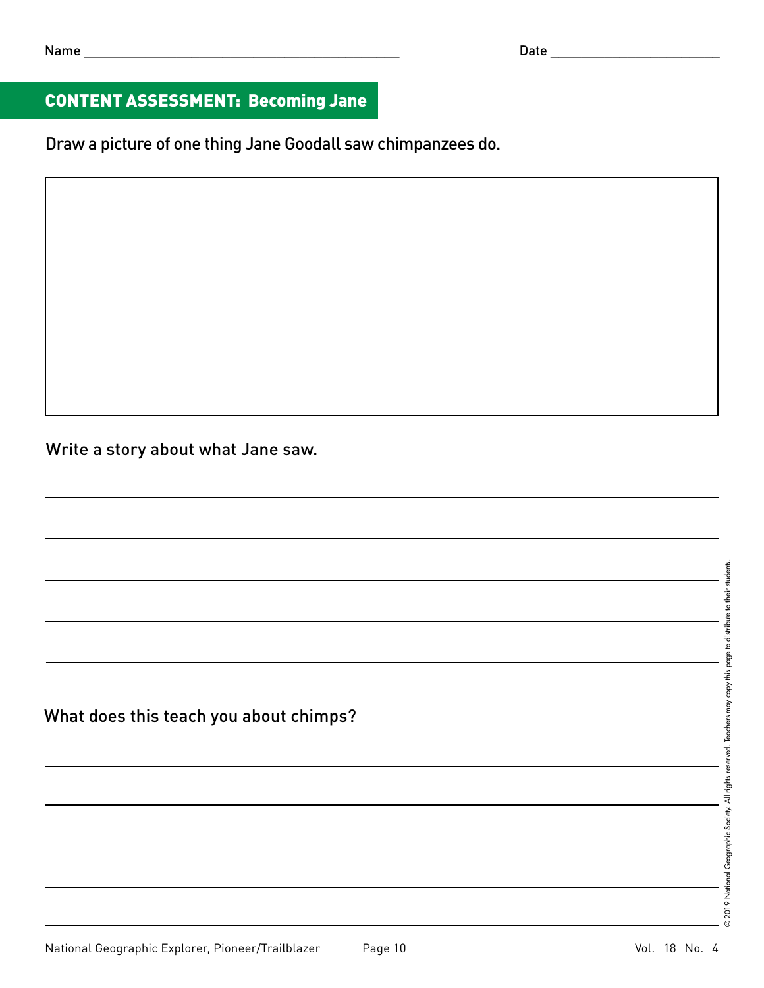# CONTENT ASSESSMENT: Becoming Jane

Draw a picture of one thing Jane Goodall saw chimpanzees do.

Write a story about what Jane saw.

What does this teach you about chimps?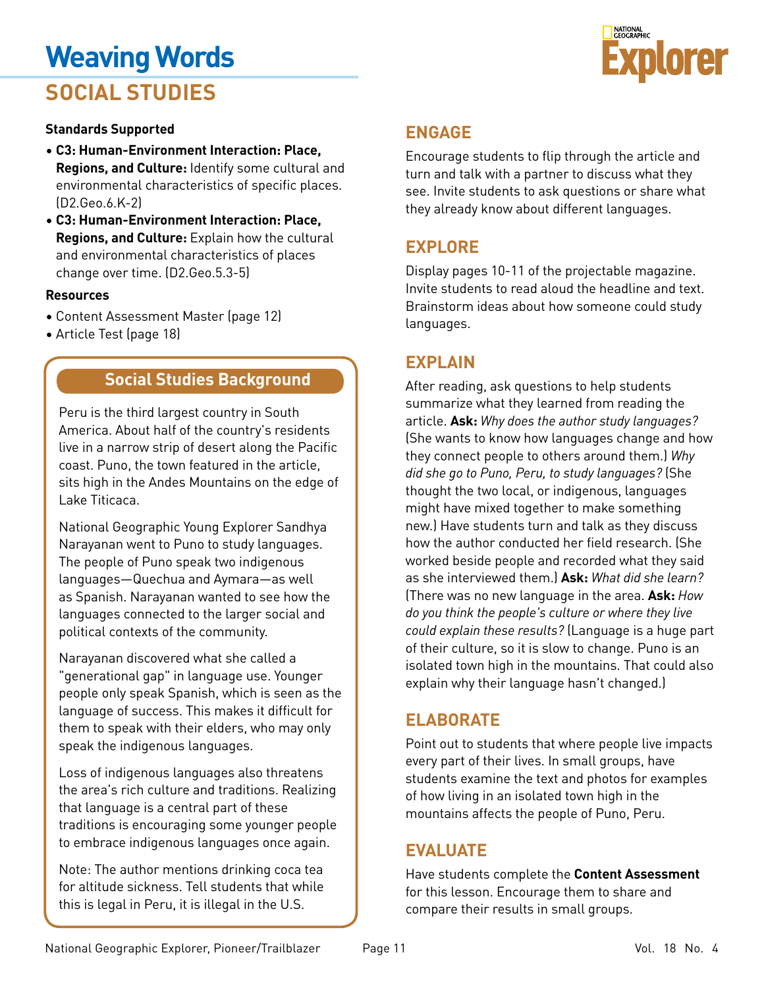# **Weaving Words SOCIAL STUDIES**



# **Standards Supported**

- **C3: Human-Environment Interaction: Place, Regions, and Culture:** Identify some cultural and environmental characteristics of specific places. (D2.Geo.6.K-2)
- **C3: Human-Environment Interaction: Place, Regions, and Culture:** Explain how the cultural and environmental characteristics of places change over time. (D2.Geo.5.3-5)

# **Resources**

- Content Assessment Master (page 12)
- Article Test (page 18)

# **Social Studies Background**

Peru is the third largest country in South America. About half of the country's residents live in a narrow strip of desert along the Pacific coast. Puno, the town featured in the article, sits high in the Andes Mountains on the edge of Lake Titicaca.

National Geographic Young Explorer Sandhya Narayanan went to Puno to study languages. The people of Puno speak two indigenous languages—Quechua and Aymara—as well as Spanish. Narayanan wanted to see how the languages connected to the larger social and political contexts of the community.

Narayanan discovered what she called a "generational gap" in language use. Younger people only speak Spanish, which is seen as the language of success. This makes it difficult for them to speak with their elders, who may only speak the indigenous languages.

Loss of indigenous languages also threatens the area's rich culture and traditions. Realizing that language is a central part of these traditions is encouraging some younger people to embrace indigenous languages once again.

Note: The author mentions drinking coca tea for altitude sickness. Tell students that while this is legal in Peru, it is illegal in the U.S.

# **ENGAGE**

Encourage students to flip through the article and turn and talk with a partner to discuss what they see. Invite students to ask questions or share what they already know about different languages.

# **EXPLORE**

Display pages 10-11 of the projectable magazine. Invite students to read aloud the headline and text. Brainstorm ideas about how someone could study languages.

# **EXPLAIN**

After reading, ask questions to help students summarize what they learned from reading the article. **Ask:** *Why does the author study languages?* (She wants to know how languages change and how they connect people to others around them.) *Why did she go to Puno, Peru, to study languages?* (She thought the two local, or indigenous, languages might have mixed together to make something new.) Have students turn and talk as they discuss how the author conducted her field research. (She worked beside people and recorded what they said as she interviewed them.) **Ask:** *What did she learn?* (There was no new language in the area. **Ask:** *How do you think the people's culture or where they live could explain these results?* (Language is a huge part of their culture, so it is slow to change. Puno is an isolated town high in the mountains. That could also explain why their language hasn't changed.)

# **ELABORATE**

Point out to students that where people live impacts every part of their lives. In small groups, have students examine the text and photos for examples of how living in an isolated town high in the mountains affects the people of Puno, Peru.

# **EVALUATE**

Have students complete the **Content Assessment** for this lesson. Encourage them to share and compare their results in small groups.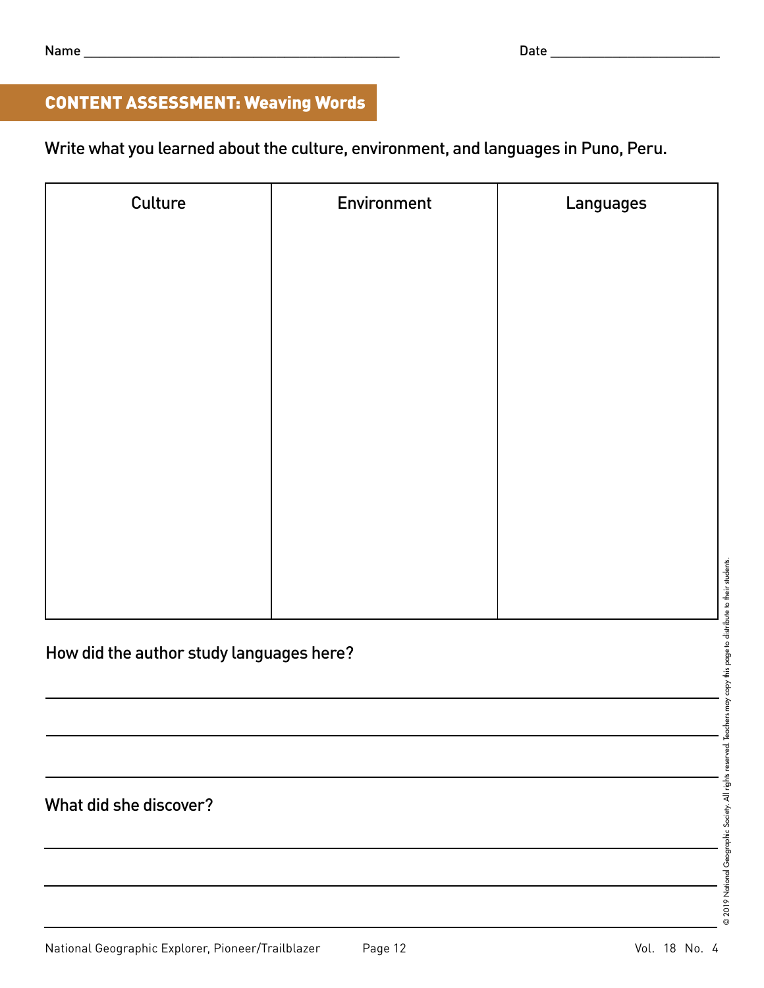# CONTENT ASSESSMENT: Weaving Words

Write what you learned about the culture, environment, and languages in Puno, Peru.

| Culture                                  | Environment | Languages |  |  |  |
|------------------------------------------|-------------|-----------|--|--|--|
|                                          |             |           |  |  |  |
|                                          |             |           |  |  |  |
|                                          |             |           |  |  |  |
|                                          |             |           |  |  |  |
|                                          |             |           |  |  |  |
|                                          |             |           |  |  |  |
|                                          |             |           |  |  |  |
|                                          |             |           |  |  |  |
|                                          |             |           |  |  |  |
|                                          |             |           |  |  |  |
|                                          |             |           |  |  |  |
|                                          |             |           |  |  |  |
| How did the author study languages here? |             |           |  |  |  |
|                                          |             |           |  |  |  |
|                                          |             |           |  |  |  |
|                                          |             |           |  |  |  |
| What did she discover?                   |             |           |  |  |  |
|                                          |             |           |  |  |  |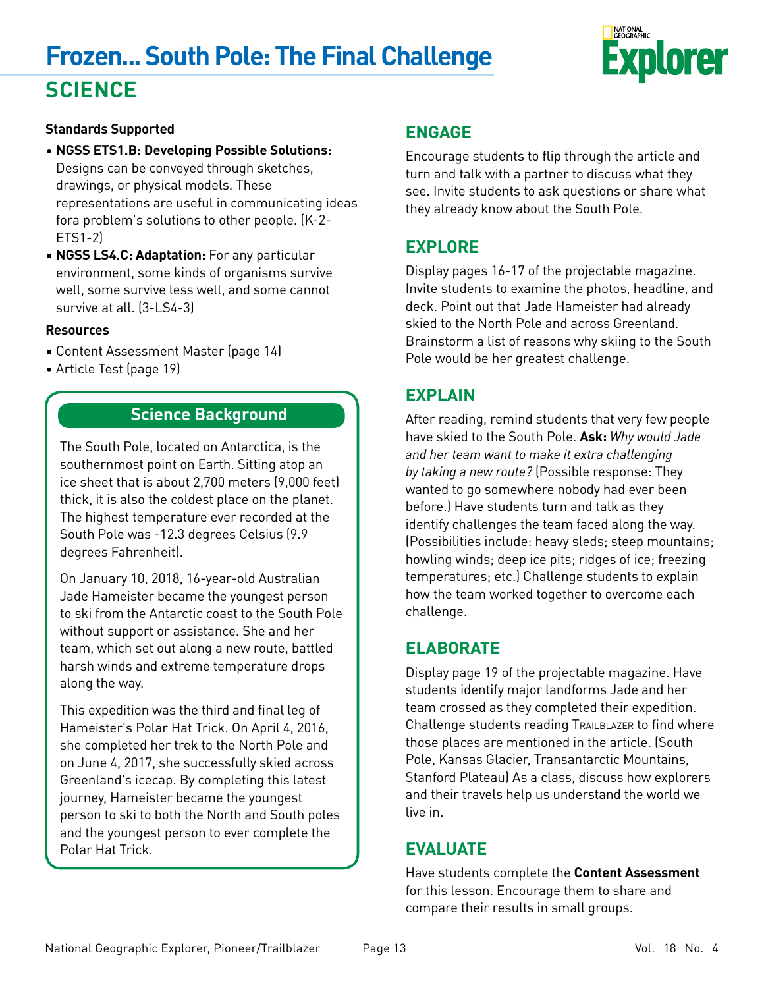# **Frozen... South Pole: The Final Challenge SCIENCE**



# **Standards Supported**

- **NGSS ETS1.B: Developing Possible Solutions:**  Designs can be conveyed through sketches, drawings, or physical models. These representations are useful in communicating ideas fora problem's solutions to other people. (K-2- ETS1-2)
- **NGSS LS4.C: Adaptation:** For any particular environment, some kinds of organisms survive well, some survive less well, and some cannot survive at all. (3-LS4-3)

### **Resources**

- Content Assessment Master (page 14)
- Article Test (page 19)

# **Science Background**

The South Pole, located on Antarctica, is the southernmost point on Earth. Sitting atop an ice sheet that is about 2,700 meters (9,000 feet) thick, it is also the coldest place on the planet. The highest temperature ever recorded at the South Pole was -12.3 degrees Celsius (9.9 degrees Fahrenheit).

On January 10, 2018, 16-year-old Australian Jade Hameister became the youngest person to ski from the Antarctic coast to the South Pole without support or assistance. She and her team, which set out along a new route, battled harsh winds and extreme temperature drops along the way.

This expedition was the third and final leg of Hameister's Polar Hat Trick. On April 4, 2016, she completed her trek to the North Pole and on June 4, 2017, she successfully skied across Greenland's icecap. By completing this latest journey, Hameister became the youngest person to ski to both the North and South poles and the youngest person to ever complete the Polar Hat Trick.

# **ENGAGE**

Encourage students to flip through the article and turn and talk with a partner to discuss what they see. Invite students to ask questions or share what they already know about the South Pole.

# **EXPLORE**

Display pages 16-17 of the projectable magazine. Invite students to examine the photos, headline, and deck. Point out that Jade Hameister had already skied to the North Pole and across Greenland. Brainstorm a list of reasons why skiing to the South Pole would be her greatest challenge.

# **EXPLAIN**

After reading, remind students that very few people have skied to the South Pole. **Ask:** *Why would Jade and her team want to make it extra challenging by taking a new route?* (Possible response: They wanted to go somewhere nobody had ever been before.) Have students turn and talk as they identify challenges the team faced along the way. (Possibilities include: heavy sleds; steep mountains; howling winds; deep ice pits; ridges of ice; freezing temperatures; etc.) Challenge students to explain how the team worked together to overcome each challenge.

# **ELABORATE**

Display page 19 of the projectable magazine. Have students identify major landforms Jade and her team crossed as they completed their expedition. Challenge students reading TRAILBLAZER to find where those places are mentioned in the article. (South Pole, Kansas Glacier, Transantarctic Mountains, Stanford Plateau) As a class, discuss how explorers and their travels help us understand the world we live in.

# **EVALUATE**

Have students complete the **Content Assessment** for this lesson. Encourage them to share and compare their results in small groups.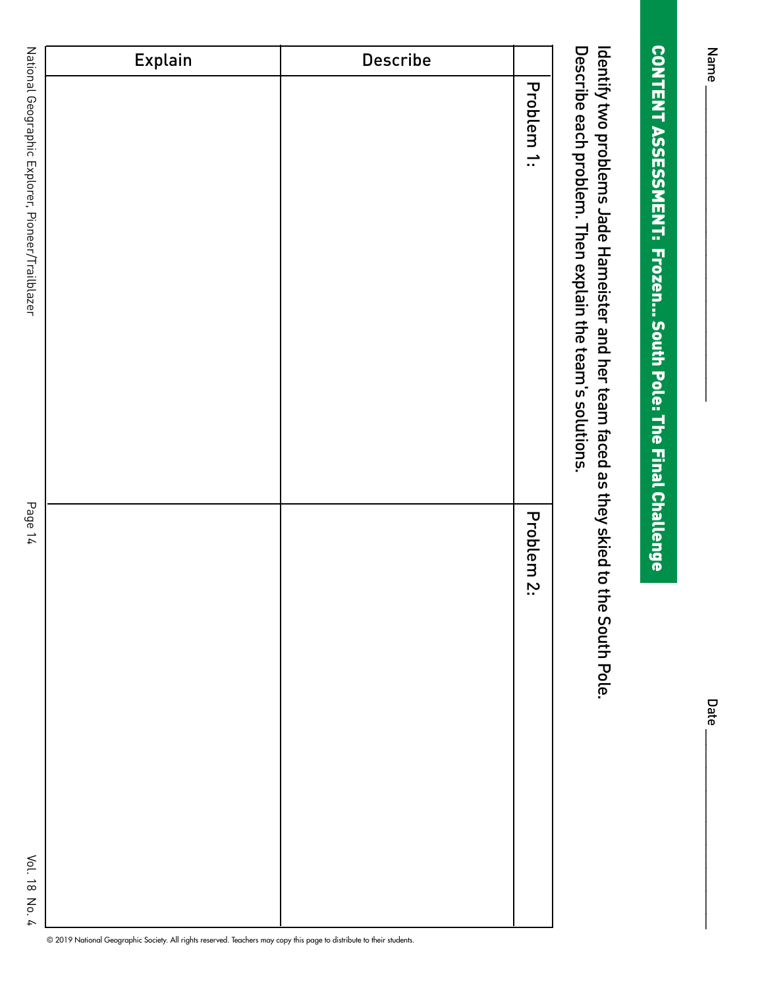Name<sub>\_</sub> Name \_\_\_\_\_\_\_\_\_\_\_\_\_\_\_\_\_\_\_\_\_\_\_\_\_\_\_\_\_\_\_\_\_\_\_\_\_\_\_\_\_ Date \_\_\_\_\_\_\_\_\_\_\_\_\_\_\_\_\_\_\_\_\_\_\_\_\_\_

**Date** 

# **CONTENT ASSESSMENT: Frozen... South Pole: The Final Challenge** CONTENT ASSESSMENT: Frozen... South Pole: The Final Challenge

Describe each problem. Then explain the team's solutions. Identify two problems Jade Hameister and her team faced as they skied to the South Pole. Describe each problem. Then explain the team's solutions. Identify two problems Jade Hameister and her team faced as they skied to the South Pole.

| Explain | Describe |            |
|---------|----------|------------|
|         |          | Problem 1: |
|         |          | Problem 2: |

National Geographic Explorer, Pioneer/Trailblazer National Geographic Explorer, Pioneer/Trailblazer Page 14

Page 14

© 2019 National Geographic Society. All rights reserved. Teachers may copy this page to distribute to their students.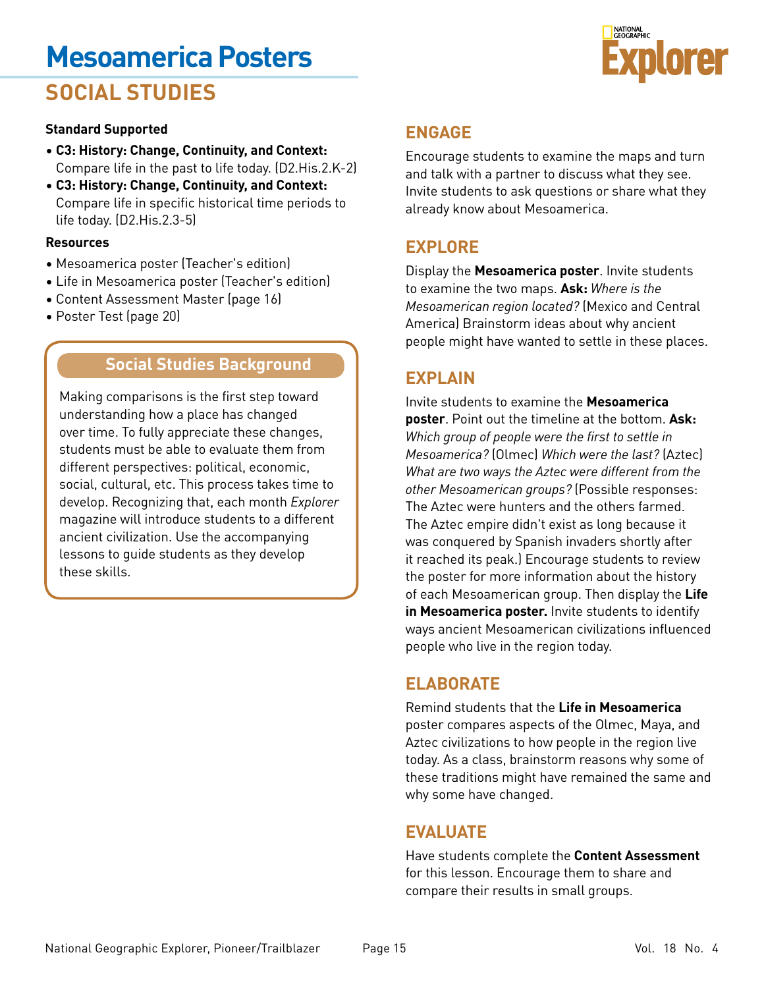# **Mesoamerica Posters**





### **Standard Supported**

- **C3: History: Change, Continuity, and Context:**  Compare life in the past to life today. (D2.His.2.K-2)
- **C3: History: Change, Continuity, and Context:**  Compare life in specific historical time periods to life today. (D2.His.2.3-5)

### **Resources**

- Mesoamerica poster (Teacher's edition)
- Life in Mesoamerica poster (Teacher's edition)
- Content Assessment Master (page 16)
- Poster Test (page 20)

# **Social Studies Background**

Making comparisons is the first step toward understanding how a place has changed over time. To fully appreciate these changes, students must be able to evaluate them from different perspectives: political, economic, social, cultural, etc. This process takes time to develop. Recognizing that, each month *Explorer* magazine will introduce students to a different ancient civilization. Use the accompanying lessons to guide students as they develop these skills.

# **ENGAGE**

Encourage students to examine the maps and turn and talk with a partner to discuss what they see. Invite students to ask questions or share what they already know about Mesoamerica.

# **EXPLORE**

Display the **Mesoamerica poster**. Invite students to examine the two maps. **Ask:** *Where is the Mesoamerican region located?* (Mexico and Central America) Brainstorm ideas about why ancient people might have wanted to settle in these places.

# **EXPLAIN**

Invite students to examine the **Mesoamerica poster**. Point out the timeline at the bottom. **Ask:**  *Which group of people were the first to settle in Mesoamerica?* (Olmec) *Which were the last?* (Aztec) *What are two ways the Aztec were different from the other Mesoamerican groups?* (Possible responses: The Aztec were hunters and the others farmed. The Aztec empire didn't exist as long because it was conquered by Spanish invaders shortly after it reached its peak.) Encourage students to review the poster for more information about the history of each Mesoamerican group. Then display the **Life in Mesoamerica poster.** Invite students to identify ways ancient Mesoamerican civilizations influenced people who live in the region today.

# **ELABORATE**

Remind students that the **Life in Mesoamerica**  poster compares aspects of the Olmec, Maya, and Aztec civilizations to how people in the region live today. As a class, brainstorm reasons why some of these traditions might have remained the same and why some have changed.

# **EVALUATE**

Have students complete the **Content Assessment** for this lesson. Encourage them to share and compare their results in small groups.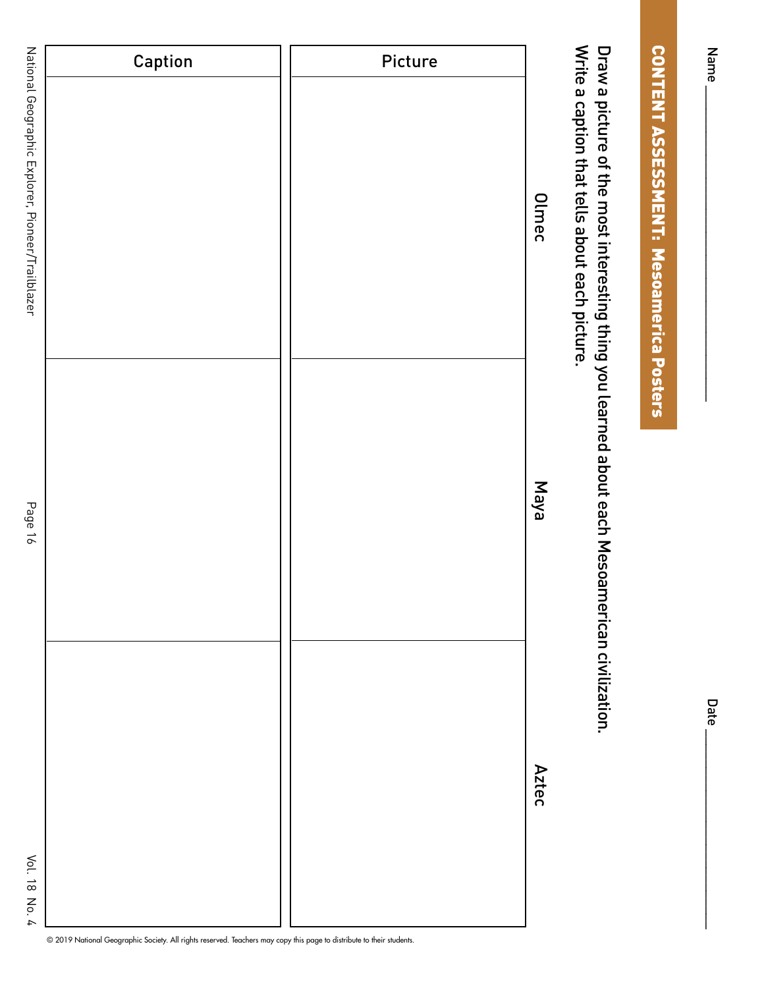Name\_

# **CONTENT ASSESSMENT: Mesoamerica Posters** CONTENT ASSESSMENT: Mesoamerica Posters

Write a caption that tells about each picture. Draw a picture of the most interesting thing you learned about each Mesoamerican civilization. Write a caption that tells about each picture. Draw a picture of the most interesting thing you learned about each Mesoamerican civilization.

|                                                   | Caption | Picture |              |
|---------------------------------------------------|---------|---------|--------------|
| National Geographic Explorer, Pioneer/Trailblazer |         |         | <b>Olmec</b> |
| Page 16                                           |         |         | <b>Naya</b>  |
| Vol. 18 No. 4                                     |         |         | <b>Aztec</b> |

© 2019 National Geographic Society. All rights reserved. Teachers may copy this page to distribute to their students.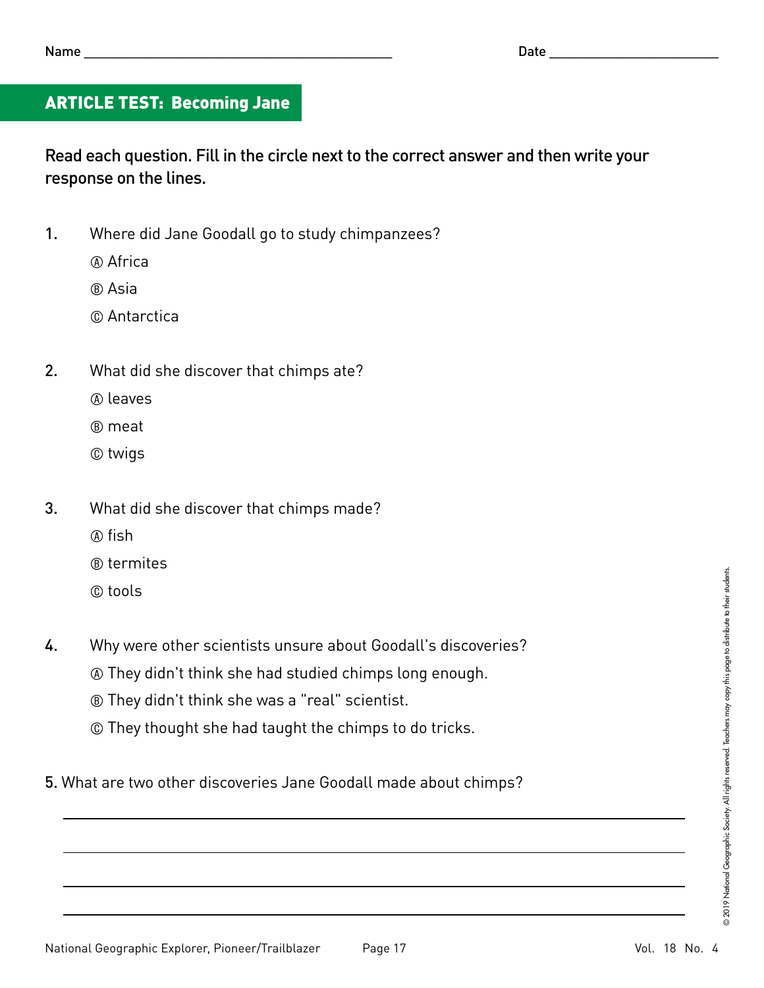# ARTICLE TEST: Becoming Jane

Read each question. Fill in the circle next to the correct answer and then write your response on the lines.

- 1. Where did Jane Goodall go to study chimpanzees?
	- A Africa
	- B Asia
	- C Antarctica
- 2. What did she discover that chimps ate?
	- A leaves
	- B meat
	- C twigs
- 3. What did she discover that chimps made?
	- A fish
	- B termites
	- C tools
- 4. Why were other scientists unsure about Goodall's discoveries?
	- A They didn't think she had studied chimps long enough.
	- B They didn't think she was a "real" scientist.
	- C They thought she had taught the chimps to do tricks.
- 5. What are two other discoveries Jane Goodall made about chimps?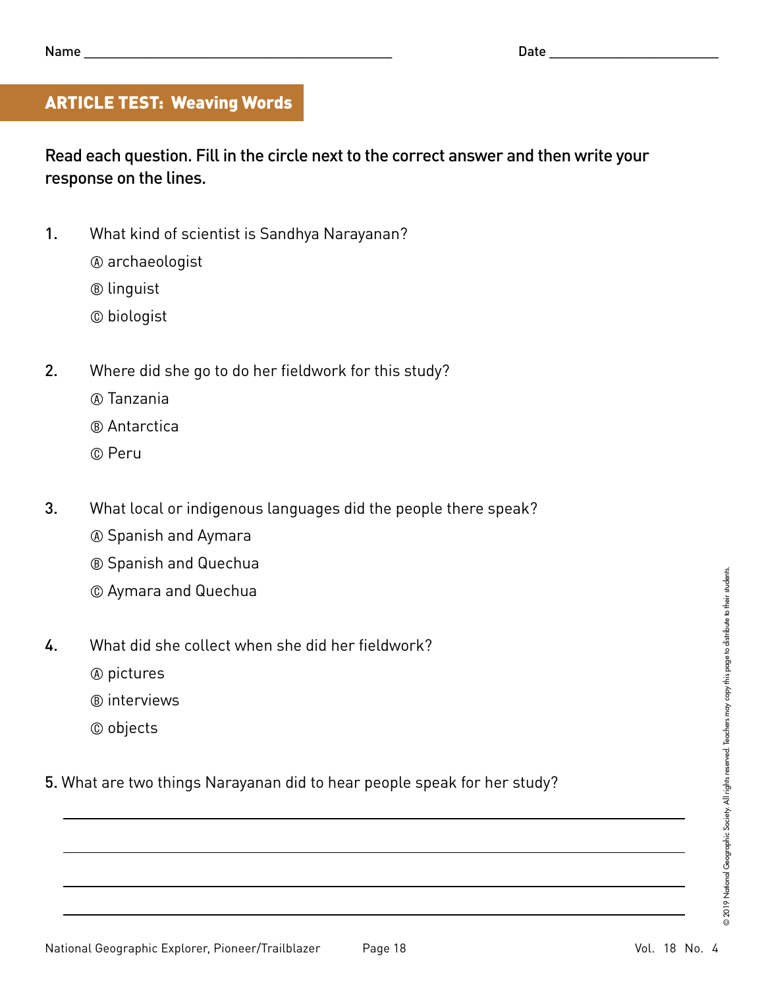# ARTICLE TEST: Weaving Words

Read each question. Fill in the circle next to the correct answer and then write your response on the lines.

- 1. What kind of scientist is Sandhya Narayanan?
	- A archaeologist
	- B linguist
	- C biologist
- 2. Where did she go to do her fieldwork for this study?
	- A Tanzania
	- B Antarctica
	- C Peru
- 3. What local or indigenous languages did the people there speak?
	- A Spanish and Aymara
	- B Spanish and Quechua
	- C Aymara and Quechua
- 4. What did she collect when she did her fieldwork?
	- A pictures
	- B interviews
	- C objects
- 5. What are two things Narayanan did to hear people speak for her study?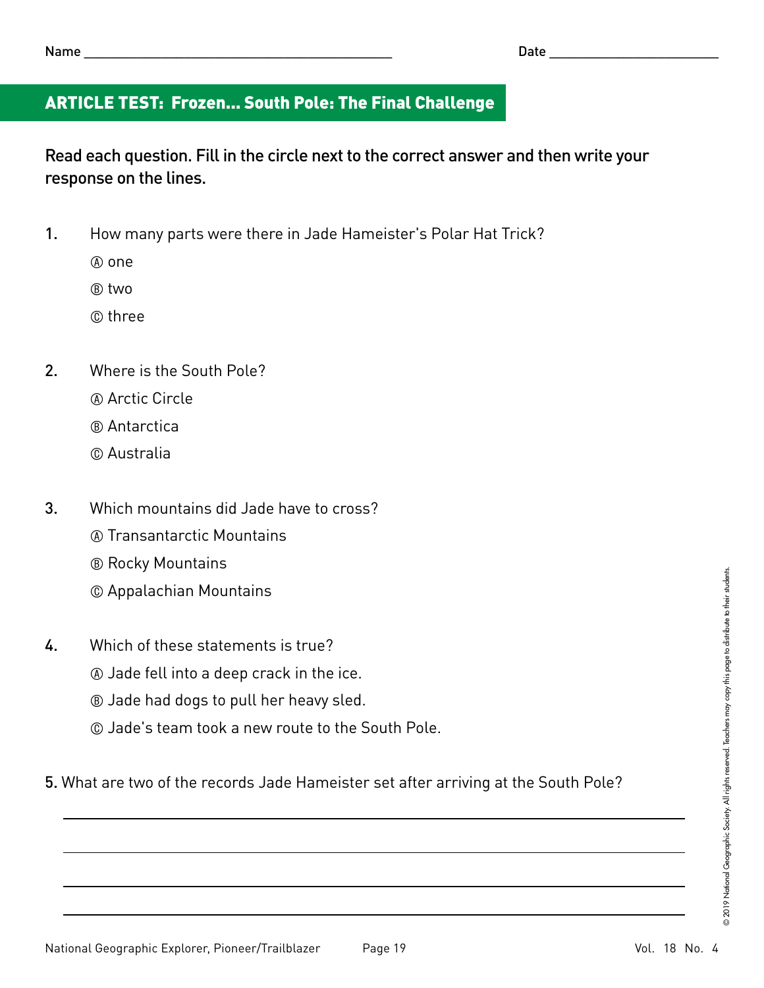# ARTICLE TEST: Frozen... South Pole: The Final Challenge

Read each question. Fill in the circle next to the correct answer and then write your response on the lines.

- 1. How many parts were there in Jade Hameister's Polar Hat Trick?
	- A one
	- B two
	- C three
- 2. Where is the South Pole?
	- A Arctic Circle
	- B Antarctica
	- C Australia
- 3. Which mountains did Jade have to cross?
	- A Transantarctic Mountains
	- B Rocky Mountains
	- C Appalachian Mountains
- 4. Which of these statements is true?
	- A Jade fell into a deep crack in the ice.
	- B Jade had dogs to pull her heavy sled.
	- C Jade's team took a new route to the South Pole.
- 5. What are two of the records Jade Hameister set after arriving at the South Pole?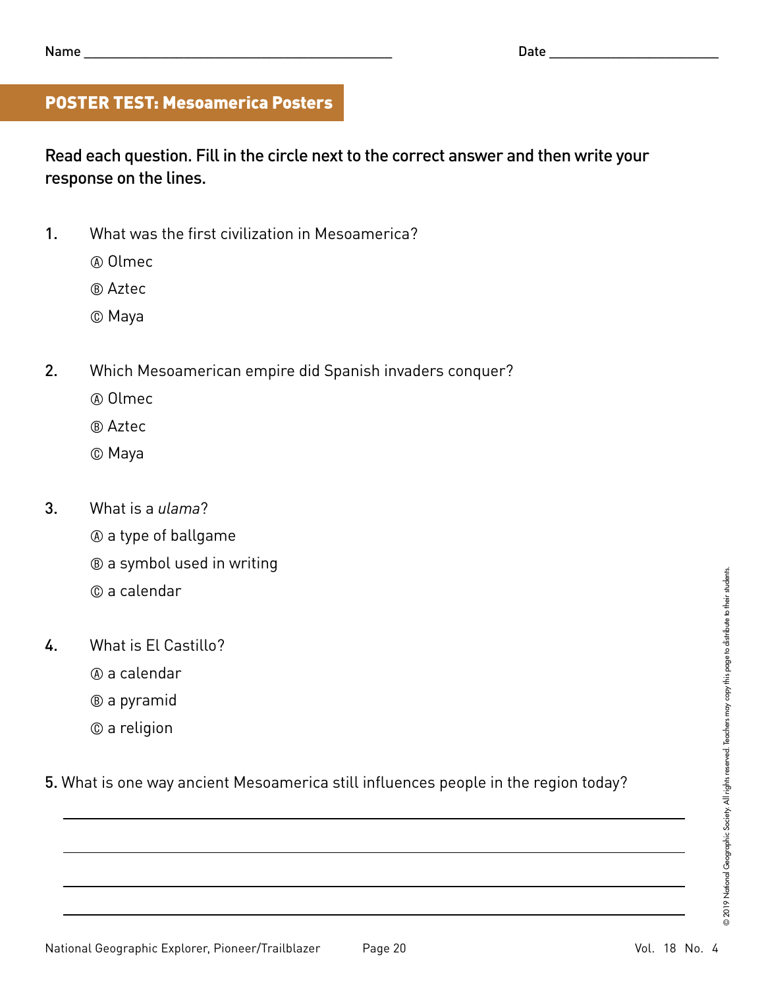# POSTER TEST: Mesoamerica Posters

Read each question. Fill in the circle next to the correct answer and then write your response on the lines.

- 1. What was the first civilization in Mesoamerica?
	- A Olmec
	- B Aztec
	- C Maya
- 2. Which Mesoamerican empire did Spanish invaders conquer?
	- A Olmec
	- B Aztec
	- C Maya
- 3. What is a *ulama*?
	- A a type of ballgame
	- B a symbol used in writing
	- C a calendar
- 4. What is El Castillo?
	- A a calendar
	- B a pyramid
	- C a religion

5. What is one way ancient Mesoamerica still influences people in the region today?